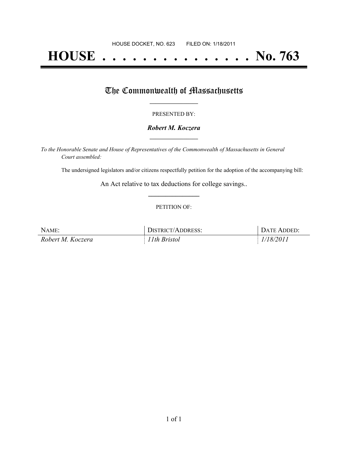# **HOUSE . . . . . . . . . . . . . . . No. 763**

## The Commonwealth of Massachusetts

#### PRESENTED BY:

#### *Robert M. Koczera* **\_\_\_\_\_\_\_\_\_\_\_\_\_\_\_\_\_**

*To the Honorable Senate and House of Representatives of the Commonwealth of Massachusetts in General Court assembled:*

The undersigned legislators and/or citizens respectfully petition for the adoption of the accompanying bill:

An Act relative to tax deductions for college savings.. **\_\_\_\_\_\_\_\_\_\_\_\_\_\_\_**

#### PETITION OF:

| NAME:             | DISTRICT/ADDRESS: | DATE ADDED: |
|-------------------|-------------------|-------------|
| Robert M. Koczera | 11th Bristol      | 1/18/2011   |